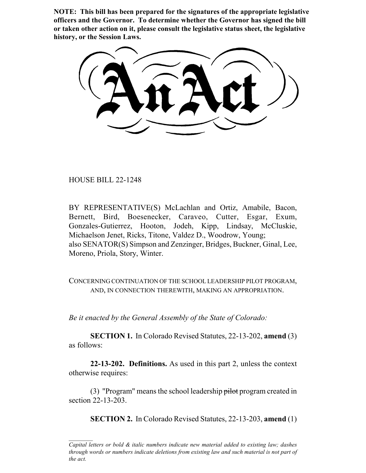**NOTE: This bill has been prepared for the signatures of the appropriate legislative officers and the Governor. To determine whether the Governor has signed the bill or taken other action on it, please consult the legislative status sheet, the legislative history, or the Session Laws.**

HOUSE BILL 22-1248

BY REPRESENTATIVE(S) McLachlan and Ortiz, Amabile, Bacon, Bernett, Bird, Boesenecker, Caraveo, Cutter, Esgar, Exum, Gonzales-Gutierrez, Hooton, Jodeh, Kipp, Lindsay, McCluskie, Michaelson Jenet, Ricks, Titone, Valdez D., Woodrow, Young; also SENATOR(S) Simpson and Zenzinger, Bridges, Buckner, Ginal, Lee, Moreno, Priola, Story, Winter.

CONCERNING CONTINUATION OF THE SCHOOL LEADERSHIP PILOT PROGRAM, AND, IN CONNECTION THEREWITH, MAKING AN APPROPRIATION.

*Be it enacted by the General Assembly of the State of Colorado:*

**SECTION 1.** In Colorado Revised Statutes, 22-13-202, **amend** (3) as follows:

**22-13-202. Definitions.** As used in this part 2, unless the context otherwise requires:

(3) "Program" means the school leadership  $\frac{p}{p}$  program created in section 22-13-203.

**SECTION 2.** In Colorado Revised Statutes, 22-13-203, **amend** (1)

*Capital letters or bold & italic numbers indicate new material added to existing law; dashes through words or numbers indicate deletions from existing law and such material is not part of the act.*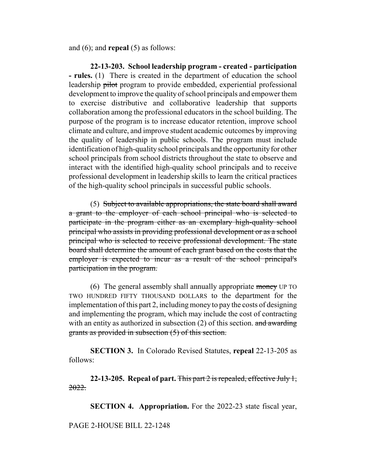and (6); and **repeal** (5) as follows:

**22-13-203. School leadership program - created - participation - rules.** (1) There is created in the department of education the school leadership pilot program to provide embedded, experiential professional development to improve the quality of school principals and empower them to exercise distributive and collaborative leadership that supports collaboration among the professional educators in the school building. The purpose of the program is to increase educator retention, improve school climate and culture, and improve student academic outcomes by improving the quality of leadership in public schools. The program must include identification of high-quality school principals and the opportunity for other school principals from school districts throughout the state to observe and interact with the identified high-quality school principals and to receive professional development in leadership skills to learn the critical practices of the high-quality school principals in successful public schools.

(5) Subject to available appropriations, the state board shall award a grant to the employer of each school principal who is selected to participate in the program either as an exemplary high-quality school principal who assists in providing professional development or as a school principal who is selected to receive professional development. The state board shall determine the amount of each grant based on the costs that the employer is expected to incur as a result of the school principal's participation in the program.

(6) The general assembly shall annually appropriate money UP TO TWO HUNDRED FIFTY THOUSAND DOLLARS to the department for the implementation of this part 2, including money to pay the costs of designing and implementing the program, which may include the cost of contracting with an entity as authorized in subsection  $(2)$  of this section. and awarding grants as provided in subsection (5) of this section.

**SECTION 3.** In Colorado Revised Statutes, **repeal** 22-13-205 as follows:

**22-13-205. Repeal of part.** This part 2 is repealed, effective July 1, 2022.

**SECTION 4. Appropriation.** For the 2022-23 state fiscal year,

PAGE 2-HOUSE BILL 22-1248